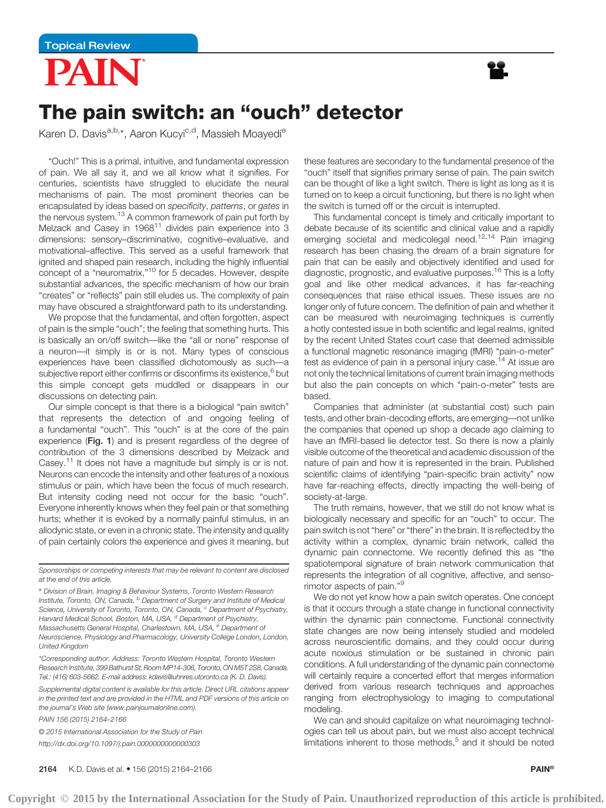# PAIN

## The pain switch: an "ouch" detector

Karen D. Davis<sup>a,b,\*</sup>, Aaron Kucyi<sup>c,d</sup>, Massieh Moayedi<sup>e</sup>

"Ouch!" This is a primal, intuitive, and fundamental expression of pain. We all say it, and we all know what it signifies. For centuries, scientists have struggled to elucidate the neural mechanisms of pain. The most prominent theories can be encapsulated by ideas based on specificity, patterns, or gates in the nervous system. $13$  A common framework of pain put forth by Melzack and Casey in 1968<sup>11</sup> divides pain experience into 3 dimensions: sensory–discriminative, cognitive–evaluative, and motivational–affective. This served as a useful framework that ignited and shaped pain research, including the highly influential concept of a "neuromatrix,"<sup>10</sup> for 5 decades. However, despite substantial advances, the specific mechanism of how our brain "creates" or "reflects" pain still eludes us. The complexity of pain may have obscured a straightforward path to its understanding.

We propose that the fundamental, and often forgotten, aspect of pain is the simple "ouch"; the feeling that something hurts. This is basically an on/off switch—like the "all or none" response of a neuron—it simply is or is not. Many types of conscious experiences have been classified dichotomously as such—a subjective report either confirms or disconfirms its existence,<sup>6</sup> but this simple concept gets muddled or disappears in our discussions on detecting pain.

Our simple concept is that there is a biological "pain switch" that represents the detection of and ongoing feeling of a fundamental "ouch". This "ouch" is at the core of the pain experience (Fig. 1) and is present regardless of the degree of contribution of the 3 dimensions described by Melzack and Casey.<sup>11</sup> It does not have a magnitude but simply is or is not. Neurons can encode the intensity and other features of a noxious stimulus or pain, which have been the focus of much research. But intensity coding need not occur for the basic "ouch". Everyone inherently knows when they feel pain or that something hurts; whether it is evoked by a normally painful stimulus, in an allodynic state, or even in a chronic state. The intensity and quality of pain certainly colors the experience and gives it meaning, but

Sponsorships or competing interests that may be relevant to content are disclosed at the end of this article.

<sup>a</sup> Division of Brain, Imaging & Behaviour Systems, Toronto Western Research Institute, Toronto, ON, Canada, <sup>b</sup> Department of Surgery and Institute of Medical Science, University of Toronto, Toronto, ON, Canada, <sup>c</sup> Department of Psychiatry, Harvard Medical School, Boston, MA, USA, <sup>d</sup> Department of Psychiatry, Massachusetts General Hospital, Charlestown, MA, USA, <sup>e</sup> Department of Neuroscience, Physiology and Pharmacology, University College London, London, United Kingdom

\*Corresponding author. Address: Toronto Western Hospital, Toronto Western Research Institute, 399 Bathurst St, Room MP14-306, Toronto, ON M5T 2S8, Canada. Tel.: (416) 603-5662. E-mail address: [kdavis@uhnres.utoronto.ca](mailto:kdavis@uhnres.utoronto.ca) (K. D. Davis).

Supplemental digital content is available for this article. Direct URL citations appear in the printed text and are provided in the HTML and PDF versions of this article on the journal's Web site [\(www.painjournalonline.com](http://www.painjournalonline.com)).

PAIN 156 (2015) 2164–2166

© 2015 International Association for the Study of Pain <http://dx.doi.org/10.1097/j.pain.0000000000000303>

these features are secondary to the fundamental presence of the "ouch" itself that signifies primary sense of pain. The pain switch can be thought of like a light switch. There is light as long as it is turned on to keep a circuit functioning, but there is no light when the switch is turned off or the circuit is interrupted.

This fundamental concept is timely and critically important to debate because of its scientific and clinical value and a rapidly emerging societal and medicolegal need.<sup>12,14</sup> Pain imaging research has been chasing the dream of a brain signature for pain that can be easily and objectively identified and used for diagnostic, prognostic, and evaluative purposes.<sup>16</sup> This is a lofty goal and like other medical advances, it has far-reaching consequences that raise ethical issues. These issues are no longer only of future concern. The definition of pain and whether it can be measured with neuroimaging techniques is currently a hotly contested issue in both scientific and legal realms, ignited by the recent United States court case that deemed admissible a functional magnetic resonance imaging (fMRI) "pain-o-meter" test as evidence of pain in a personal injury case.<sup>14</sup> At issue are not only the technical limitations of current brain imaging methods but also the pain concepts on which "pain-o-meter" tests are based.

Companies that administer (at substantial cost) such pain tests, and other brain-decoding efforts, are emerging—not unlike the companies that opened up shop a decade ago claiming to have an fMRI-based lie detector test. So there is now a plainly visible outcome of the theoretical and academic discussion of the nature of pain and how it is represented in the brain. Published scientific claims of identifying "pain-specific brain activity" now have far-reaching effects, directly impacting the well-being of society-at-large.

The truth remains, however, that we still do not know what is biologically necessary and specific for an "ouch" to occur. The pain switch is not "here" or "there" in the brain. It is reflected by the activity within a complex, dynamic brain network, called the dynamic pain connectome. We recently defined this as "the spatiotemporal signature of brain network communication that represents the integration of all cognitive, affective, and sensorimotor aspects of pain."<sup>9</sup>

We do not yet know how a pain switch operates. One concept is that it occurs through a state change in functional connectivity within the dynamic pain connectome. Functional connectivity state changes are now being intensely studied and modeled across neuroscientific domains, and they could occur during acute noxious stimulation or be sustained in chronic pain conditions. A full understanding of the dynamic pain connectome will certainly require a concerted effort that merges information derived from various research techniques and approaches ranging from electrophysiology to imaging to computational modeling.

We can and should capitalize on what neuroimaging technologies can tell us about pain, but we must also accept technical limitations inherent to those methods,<sup>5</sup> and it should be noted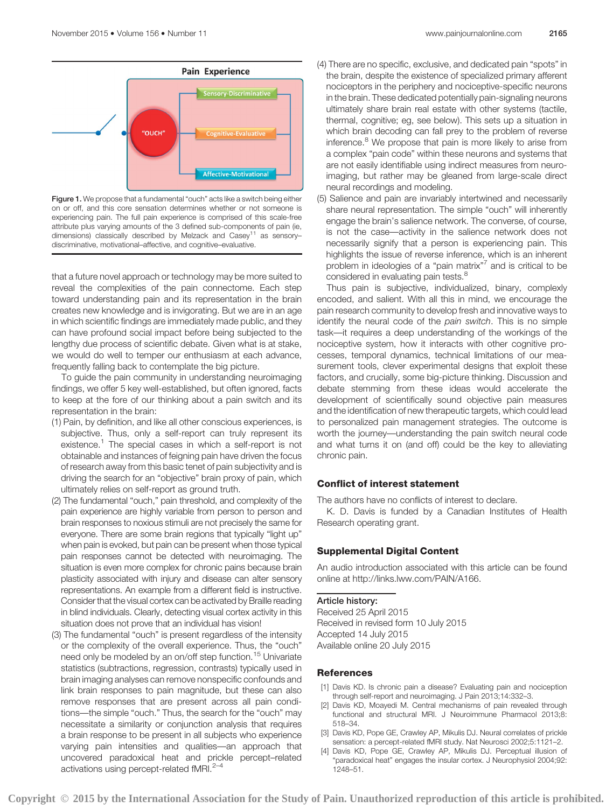

Figure 1. We propose that a fundamental "ouch" acts like a switch being either on or off, and this core sensation determines whether or not someone is experiencing pain. The full pain experience is comprised of this scale-free attribute plus varying amounts of the 3 defined sub-components of pain (ie, dimensions) classically described by Melzack and Casey<sup>11</sup> as sensorydiscriminative, motivational–affective, and cognitive–evaluative.

that a future novel approach or technology may be more suited to reveal the complexities of the pain connectome. Each step toward understanding pain and its representation in the brain creates new knowledge and is invigorating. But we are in an age in which scientific findings are immediately made public, and they can have profound social impact before being subjected to the lengthy due process of scientific debate. Given what is at stake, we would do well to temper our enthusiasm at each advance, frequently falling back to contemplate the big picture.

To guide the pain community in understanding neuroimaging findings, we offer 5 key well-established, but often ignored, facts to keep at the fore of our thinking about a pain switch and its representation in the brain:

- (1) Pain, by definition, and like all other conscious experiences, is subjective. Thus, only a self-report can truly represent its existence.<sup>1</sup> The special cases in which a self-report is not obtainable and instances of feigning pain have driven the focus of research away from this basic tenet of pain subjectivity and is driving the search for an "objective" brain proxy of pain, which ultimately relies on self-report as ground truth.
- (2) The fundamental "ouch," pain threshold, and complexity of the pain experience are highly variable from person to person and brain responses to noxious stimuli are not precisely the same for everyone. There are some brain regions that typically "light up" when pain is evoked, but pain can be present when those typical pain responses cannot be detected with neuroimaging. The situation is even more complex for chronic pains because brain plasticity associated with injury and disease can alter sensory representations. An example from a different field is instructive. Consider that the visual cortex can be activated by Braille reading in blind individuals. Clearly, detecting visual cortex activity in this situation does not prove that an individual has vision!
- (3) The fundamental "ouch" is present regardless of the intensity or the complexity of the overall experience. Thus, the "ouch" need only be modeled by an on/off step function.<sup>15</sup> Univariate statistics (subtractions, regression, contrasts) typically used in brain imaging analyses can remove nonspecific confounds and link brain responses to pain magnitude, but these can also remove responses that are present across all pain conditions—the simple "ouch." Thus, the search for the "ouch" may necessitate a similarity or conjunction analysis that requires a brain response to be present in all subjects who experience varying pain intensities and qualities—an approach that uncovered paradoxical heat and prickle percept–related activations using percept-related fMRI.<sup>2-4</sup>
- (4) There are no specific, exclusive, and dedicated pain "spots" in the brain, despite the existence of specialized primary afferent nociceptors in the periphery and nociceptive-specific neurons in the brain. These dedicated potentially pain-signaling neurons ultimately share brain real estate with other systems (tactile, thermal, cognitive; eg, see below). This sets up a situation in which brain decoding can fall prey to the problem of reverse inference.<sup>8</sup> We propose that pain is more likely to arise from a complex "pain code" within these neurons and systems that are not easily identifiable using indirect measures from neuroimaging, but rather may be gleaned from large-scale direct neural recordings and modeling.
- (5) Salience and pain are invariably intertwined and necessarily share neural representation. The simple "ouch" will inherently engage the brain's salience network. The converse, of course, is not the case—activity in the salience network does not necessarily signify that a person is experiencing pain. This highlights the issue of reverse inference, which is an inherent problem in ideologies of a "pain matrix"<sup>7</sup> and is critical to be considered in evaluating pain tests.<sup>8</sup>

Thus pain is subjective, individualized, binary, complexly encoded, and salient. With all this in mind, we encourage the pain research community to develop fresh and innovative ways to identify the neural code of the pain switch. This is no simple task—it requires a deep understanding of the workings of the nociceptive system, how it interacts with other cognitive processes, temporal dynamics, technical limitations of our measurement tools, clever experimental designs that exploit these factors, and crucially, some big-picture thinking. Discussion and debate stemming from these ideas would accelerate the development of scientifically sound objective pain measures and the identification of new therapeutic targets, which could lead to personalized pain management strategies. The outcome is worth the journey—understanding the pain switch neural code and what turns it on (and off) could be the key to alleviating chronic pain.

#### Conflict of interest statement

The authors have no conflicts of interest to declare.

K. D. Davis is funded by a Canadian Institutes of Health Research operating grant.

#### Supplemental Digital Content

An audio introduction associated with this article can be found online at<http://links.lww.com/PAIN/A166>.

Article history: Received 25 April 2015 Received in revised form 10 July 2015 Accepted 14 July 2015 Available online 20 July 2015

### **References**

- [1] Davis KD. Is chronic pain a disease? Evaluating pain and nociception through self-report and neuroimaging. J Pain 2013;14:332–3.
- [2] Davis KD, Moayedi M. Central mechanisms of pain revealed through functional and structural MRI. J Neuroimmune Pharmacol 2013;8: 518–34.
- [3] Davis KD, Pope GE, Crawley AP, Mikulis DJ. Neural correlates of prickle sensation: a percept-related fMRI study. Nat Neurosci 2002;5:1121–2.
- Davis KD, Pope GE, Crawley AP, Mikulis DJ. Perceptual illusion of "paradoxical heat" engages the insular cortex. J Neurophysiol 2004;92: 1248–51.

Copyright © 2015 by the International Association for the Study of Pain. Unauthorized reproduction of this article is prohibited.